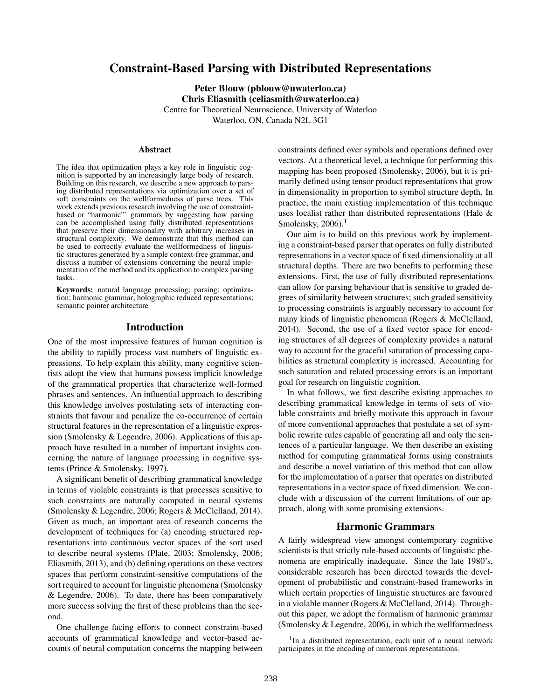# Constraint-Based Parsing with Distributed Representations

Peter Blouw (pblouw@uwaterloo.ca) Chris Eliasmith (celiasmith@uwaterloo.ca) Centre for Theoretical Neuroscience, University of Waterloo Waterloo, ON, Canada N2L 3G1

#### Abstract

The idea that optimization plays a key role in linguistic cognition is supported by an increasingly large body of research. Building on this research, we describe a new approach to parsing distributed representations via optimization over a set of soft constraints on the wellformedness of parse trees. This work extends previous research involving the use of constraintbased or "harmonic"' grammars by suggesting how parsing can be accomplished using fully distributed representations that preserve their dimensionality with arbitrary increases in structural complexity. We demonstrate that this method can be used to correctly evaluate the wellformedness of linguistic structures generated by a simple context-free grammar, and discuss a number of extensions concerning the neural implementation of the method and its application to complex parsing tasks.

Keywords: natural language processing; parsing; optimization; harmonic grammar; holographic reduced representations; semantic pointer architecture

## Introduction

One of the most impressive features of human cognition is the ability to rapidly process vast numbers of linguistic expressions. To help explain this ability, many cognitive scientists adopt the view that humans possess implicit knowledge of the grammatical properties that characterize well-formed phrases and sentences. An influential approach to describing this knowledge involves postulating sets of interacting constraints that favour and penalize the co-occurrence of certain structural features in the representation of a linguistic expression (Smolensky & Legendre, 2006). Applications of this approach have resulted in a number of important insights concerning the nature of language processing in cognitive systems (Prince & Smolensky, 1997).

A significant benefit of describing grammatical knowledge in terms of violable constraints is that processes sensitive to such constraints are naturally computed in neural systems (Smolensky & Legendre, 2006; Rogers & McClelland, 2014). Given as much, an important area of research concerns the development of techniques for (a) encoding structured representations into continuous vector spaces of the sort used to describe neural systems (Plate, 2003; Smolensky, 2006; Eliasmith, 2013), and (b) defining operations on these vectors spaces that perform constraint-sensitive computations of the sort required to account for linguistic phenomena (Smolensky & Legendre, 2006). To date, there has been comparatively more success solving the first of these problems than the second.

One challenge facing efforts to connect constraint-based accounts of grammatical knowledge and vector-based accounts of neural computation concerns the mapping between constraints defined over symbols and operations defined over vectors. At a theoretical level, a technique for performing this mapping has been proposed (Smolensky, 2006), but it is primarily defined using tensor product representations that grow in dimensionality in proportion to symbol structure depth. In practice, the main existing implementation of this technique uses localist rather than distributed representations (Hale & Smolensky,  $2006$ ).<sup>1</sup>

Our aim is to build on this previous work by implementing a constraint-based parser that operates on fully distributed representations in a vector space of fixed dimensionality at all structural depths. There are two benefits to performing these extensions. First, the use of fully distributed representations can allow for parsing behaviour that is sensitive to graded degrees of similarity between structures; such graded sensitivity to processing constraints is arguably necessary to account for many kinds of linguistic phenomena (Rogers & McClelland, 2014). Second, the use of a fixed vector space for encoding structures of all degrees of complexity provides a natural way to account for the graceful saturation of processing capabilities as structural complexity is increased. Accounting for such saturation and related processing errors is an important goal for research on linguistic cognition.

In what follows, we first describe existing approaches to describing grammatical knowledge in terms of sets of violable constraints and briefly motivate this approach in favour of more conventional approaches that postulate a set of symbolic rewrite rules capable of generating all and only the sentences of a particular language. We then describe an existing method for computing grammatical forms using constraints and describe a novel variation of this method that can allow for the implementation of a parser that operates on distributed representations in a vector space of fixed dimension. We conclude with a discussion of the current limitations of our approach, along with some promising extensions.

#### Harmonic Grammars

A fairly widespread view amongst contemporary cognitive scientists is that strictly rule-based accounts of linguistic phenomena are empirically inadequate. Since the late 1980's, considerable research has been directed towards the development of probabilistic and constraint-based frameworks in which certain properties of linguistic structures are favoured in a violable manner (Rogers & McClelland, 2014). Throughout this paper, we adopt the formalism of harmonic grammar (Smolensky & Legendre, 2006), in which the wellformedness

<sup>&</sup>lt;sup>1</sup>In a distributed representation, each unit of a neural network participates in the encoding of numerous representations.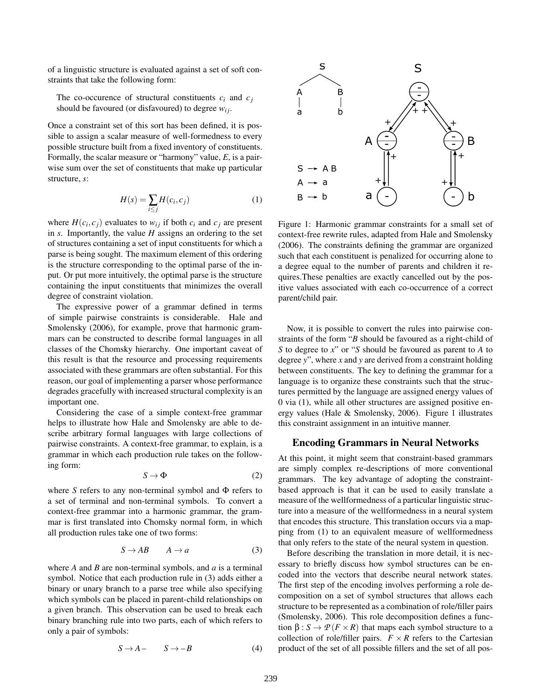of a linguistic structure is evaluated against a set of soft constraints that take the following form:

The co-occurence of structural constituents  $c_i$  and  $c_j$ should be favoured (or disfavoured) to degree  $w_{ij}$ .

Once a constraint set of this sort has been defined, it is possible to assign a scalar measure of well-formedness to every possible structure built from a fixed inventory of constituents. Formally, the scalar measure or "harmony" value, *E*, is a pairwise sum over the set of constituents that make up particular structure, *s*:

$$
H(s) = \sum_{i \le j} H(c_i, c_j)
$$
 (1)

where  $H(c_i, c_j)$  evaluates to  $w_{ij}$  if both  $c_i$  and  $c_j$  are present in *s*. Importantly, the value *H* assigns an ordering to the set of structures containing a set of input constituents for which a parse is being sought. The maximum element of this ordering is the structure corresponding to the optimal parse of the input. Or put more intuitively, the optimal parse is the structure containing the input constituents that minimizes the overall degree of constraint violation.

The expressive power of a grammar defined in terms of simple pairwise constraints is considerable. Hale and Smolensky (2006), for example, prove that harmonic grammars can be constructed to describe formal languages in all classes of the Chomsky hierarchy. One important caveat of this result is that the resource and processing requirements associated with these grammars are often substantial. For this reason, our goal of implementing a parser whose performance degrades gracefully with increased structural complexity is an important one.

Considering the case of a simple context-free grammar helps to illustrate how Hale and Smolensky are able to describe arbitrary formal languages with large collections of pairwise constraints. A context-free grammar, to explain, is a grammar in which each production rule takes on the following form:

$$
S \to \Phi \tag{2}
$$

where *S* refers to any non-terminal symbol and Φ refers to a set of terminal and non-terminal symbols. To convert a context-free grammar into a harmonic grammar, the grammar is first translated into Chomsky normal form, in which all production rules take one of two forms:

$$
S \to AB \qquad A \to a \tag{3}
$$

where *A* and *B* are non-terminal symbols, and *a* is a terminal symbol. Notice that each production rule in (3) adds either a binary or unary branch to a parse tree while also specifying which symbols can be placed in parent-child relationships on a given branch. This observation can be used to break each binary branching rule into two parts, each of which refers to only a pair of symbols:

$$
S \to A - S \to -B \tag{4}
$$



Figure 1: Harmonic grammar constraints for a small set of context-free rewrite rules, adapted from Hale and Smolensky (2006). The constraints defining the grammar are organized such that each constituent is penalized for occurring alone to a degree equal to the number of parents and children it requires.These penalties are exactly cancelled out by the positive values associated with each co-occurrence of a correct parent/child pair.

Now, it is possible to convert the rules into pairwise constraints of the form "*B* should be favoured as a right-child of *S* to degree to *x*" or "*S* should be favoured as parent to *A* to degree *y*", where *x* and *y* are derived from a constraint holding between constituents. The key to defining the grammar for a language is to organize these constraints such that the structures permitted by the language are assigned energy values of 0 via (1), while all other structures are assigned positive energy values (Hale & Smolensky, 2006). Figure 1 illustrates this constraint assignment in an intuitive manner.

#### Encoding Grammars in Neural Networks

At this point, it might seem that constraint-based grammars are simply complex re-descriptions of more conventional grammars. The key advantage of adopting the constraintbased approach is that it can be used to easily translate a measure of the wellformedness of a particular linguistic structure into a measure of the wellformedness in a neural system that encodes this structure. This translation occurs via a mapping from (1) to an equivalent measure of wellformedness that only refers to the state of the neural system in question.

Before describing the translation in more detail, it is necessary to briefly discuss how symbol structures can be encoded into the vectors that describe neural network states. The first step of the encoding involves performing a role decomposition on a set of symbol structures that allows each structure to be represented as a combination of role/filler pairs (Smolensky, 2006). This role decomposition defines a function  $\beta$  :  $S \to \mathcal{P}(F \times R)$  that maps each symbol structure to a collection of role/filler pairs.  $F \times R$  refers to the Cartesian product of the set of all possible fillers and the set of all pos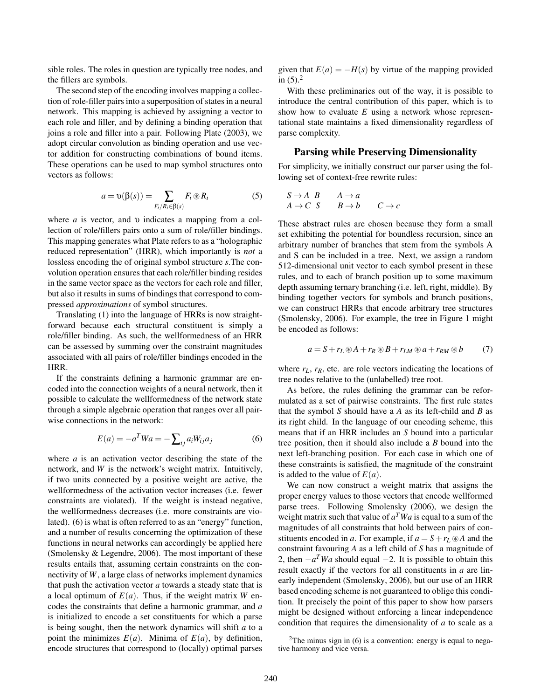sible roles. The roles in question are typically tree nodes, and the fillers are symbols.

The second step of the encoding involves mapping a collection of role-filler pairs into a superposition of states in a neural network. This mapping is achieved by assigning a vector to each role and filler, and by defining a binding operation that joins a role and filler into a pair. Following Plate (2003), we adopt circular convolution as binding operation and use vector addition for constructing combinations of bound items. These operations can be used to map symbol structures onto vectors as follows:

$$
a = \upsilon(\beta(s)) = \sum_{F_i/R_i \in \beta(s)} F_i \otimes R_i \tag{5}
$$

where *a* is vector, and υ indicates a mapping from a collection of role/fillers pairs onto a sum of role/filler bindings. This mapping generates what Plate refers to as a "holographic reduced representation" (HRR), which importantly is *not* a lossless encoding the of original symbol structure *s*.The convolution operation ensures that each role/filler binding resides in the same vector space as the vectors for each role and filler, but also it results in sums of bindings that correspond to compressed *approximations* of symbol structures.

Translating (1) into the language of HRRs is now straightforward because each structural constituent is simply a role/filler binding. As such, the wellformedness of an HRR can be assessed by summing over the constraint magnitudes associated with all pairs of role/filler bindings encoded in the HRR.

If the constraints defining a harmonic grammar are encoded into the connection weights of a neural network, then it possible to calculate the wellformedness of the network state through a simple algebraic operation that ranges over all pairwise connections in the network:

$$
E(a) = -a^T W a = -\sum_{ij} a_i W_{ij} a_j \tag{6}
$$

where *a* is an activation vector describing the state of the network, and *W* is the network's weight matrix. Intuitively, if two units connected by a positive weight are active, the wellformedness of the activation vector increases (i.e. fewer constraints are violated). If the weight is instead negative, the wellformedness decreases (i.e. more constraints are violated). (6) is what is often referred to as an "energy" function, and a number of results concerning the optimization of these functions in neural networks can accordingly be applied here (Smolensky & Legendre, 2006). The most important of these results entails that, assuming certain constraints on the connectivity of *W*, a large class of networks implement dynamics that push the activation vector *a* towards a steady state that is a local optimum of  $E(a)$ . Thus, if the weight matrix *W* encodes the constraints that define a harmonic grammar, and *a* is initialized to encode a set constituents for which a parse is being sought, then the network dynamics will shift *a* to a point the minimizes  $E(a)$ . Minima of  $E(a)$ , by definition, encode structures that correspond to (locally) optimal parses given that  $E(a) = -H(s)$  by virtue of the mapping provided in  $(5)$ .<sup>2</sup>

With these preliminaries out of the way, it is possible to introduce the central contribution of this paper, which is to show how to evaluate *E* using a network whose representational state maintains a fixed dimensionality regardless of parse complexity.

#### Parsing while Preserving Dimensionality

For simplicity, we initially construct our parser using the following set of context-free rewrite rules:

$$
\begin{array}{ccc}\nS \to A & B & A \to a \\
A \to C & S & B \to b & C \to c\n\end{array}
$$

These abstract rules are chosen because they form a small set exhibiting the potential for boundless recursion, since an arbitrary number of branches that stem from the symbols A and S can be included in a tree. Next, we assign a random 512-dimensional unit vector to each symbol present in these rules, and to each of branch position up to some maximum depth assuming ternary branching (i.e. left, right, middle). By binding together vectors for symbols and branch positions, we can construct HRRs that encode arbitrary tree structures (Smolensky, 2006). For example, the tree in Figure 1 might be encoded as follows:

$$
a = S + r_L \otimes A + r_R \otimes B + r_{LM} \otimes a + r_{RM} \otimes b \tag{7}
$$

where  $r_L$ ,  $r_R$ , etc. are role vectors indicating the locations of tree nodes relative to the (unlabelled) tree root.

As before, the rules defining the grammar can be reformulated as a set of pairwise constraints. The first rule states that the symbol *S* should have a *A* as its left-child and *B* as its right child. In the language of our encoding scheme, this means that if an HRR includes an *S* bound into a particular tree position, then it should also include a *B* bound into the next left-branching position. For each case in which one of these constraints is satisfied, the magnitude of the constraint is added to the value of  $E(a)$ .

We can now construct a weight matrix that assigns the proper energy values to those vectors that encode wellformed parse trees. Following Smolensky (2006), we design the weight matrix such that value of  $a^T W a$  is equal to a sum of the magnitudes of all constraints that hold between pairs of constituents encoded in *a*. For example, if  $a = S + r_L \otimes A$  and the constraint favouring *A* as a left child of *S* has a magnitude of 2, then  $-a^T W a$  should equal  $-2$ . It is possible to obtain this result exactly if the vectors for all constituents in *a* are linearly independent (Smolensky, 2006), but our use of an HRR based encoding scheme is not guaranteed to oblige this condition. It precisely the point of this paper to show how parsers might be designed without enforcing a linear independence condition that requires the dimensionality of *a* to scale as a

<sup>&</sup>lt;sup>2</sup>The minus sign in  $(6)$  is a convention: energy is equal to negative harmony and vice versa.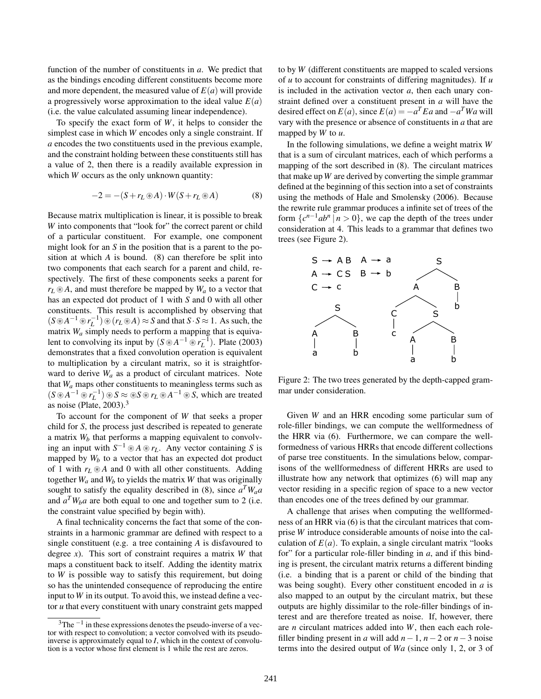function of the number of constituents in *a*. We predict that as the bindings encoding different constituents become more and more dependent, the measured value of  $E(a)$  will provide a progressively worse approximation to the ideal value  $E(a)$ (i.e. the value calculated assuming linear independence).

To specify the exact form of *W*, it helps to consider the simplest case in which *W* encodes only a single constraint. If *a* encodes the two constituents used in the previous example, and the constraint holding between these constituents still has a value of 2, then there is a readily available expression in which *W* occurs as the only unknown quantity:

$$
-2 = -(S + rL \circledast A) \cdot W(S + rL \circledast A)
$$
 (8)

Because matrix multiplication is linear, it is possible to break *W* into components that "look for" the correct parent or child of a particular constituent. For example, one component might look for an *S* in the position that is a parent to the position at which *A* is bound. (8) can therefore be split into two components that each search for a parent and child, respectively. The first of these components seeks a parent for  $r_L \otimes A$ , and must therefore be mapped by  $W_a$  to a vector that has an expected dot product of 1 with *S* and 0 with all other constituents. This result is accomplished by observing that  $(S \otimes A^{-1} \otimes r_L^{-1}) \otimes (r_L \otimes A) \approx S$  and that  $S \cdot S \approx 1$ . As such, the matrix *W<sup>a</sup>* simply needs to perform a mapping that is equivalent to convolving its input by  $(S \otimes A^{-1} \otimes r_L^{-1})$ . Plate (2003) demonstrates that a fixed convolution operation is equivalent to multiplication by a circulant matrix, so it is straightforward to derive *W<sup>a</sup>* as a product of circulant matrices. Note that *W<sup>a</sup>* maps other constituents to meaningless terms such as  $(S \otimes A^{-1} \otimes r_L^{-1}) \otimes S \approx \otimes S \otimes r_L \otimes A^{-1} \otimes S$ , which are treated as noise (Plate,  $2003$ ).<sup>3</sup>

To account for the component of *W* that seeks a proper child for *S*, the process just described is repeated to generate a matrix  $W_b$  that performs a mapping equivalent to convolving an input with  $S^{-1} \otimes A \otimes r_L$ . Any vector containing *S* is mapped by  $W_b$  to a vector that has an expected dot product of 1 with  $r_L \otimes A$  and 0 with all other constituents. Adding together  $W_a$  and  $W_b$  to yields the matrix  $W$  that was originally sought to satisfy the equality described in (8), since  $a^T W_a a$ and  $a^T W_b a$  are both equal to one and together sum to 2 (i.e. the constraint value specified by begin with).

A final technicality concerns the fact that some of the constraints in a harmonic grammar are defined with respect to a single constituent (e.g. a tree containing *A* is disfavoured to degree *x*). This sort of constraint requires a matrix *W* that maps a constituent back to itself. Adding the identity matrix to *W* is possible way to satisfy this requirement, but doing so has the unintended consequence of reproducing the entire input to *W* in its output. To avoid this, we instead define a vector *u* that every constituent with unary constraint gets mapped to by *W* (different constituents are mapped to scaled versions of *u* to account for constraints of differing magnitudes). If *u* is included in the activation vector *a*, then each unary constraint defined over a constituent present in *a* will have the desired effect on  $E(a)$ , since  $E(a) = -a^T E a$  and  $-a^T W a$  will vary with the presence or absence of constituents in *a* that are mapped by *W* to *u*.

In the following simulations, we define a weight matrix *W* that is a sum of circulant matrices, each of which performs a mapping of the sort described in (8). The circulant matrices that make up *W* are derived by converting the simple grammar defined at the beginning of this section into a set of constraints using the methods of Hale and Smolensky (2006). Because the rewrite rule grammar produces a infinite set of trees of the form  $\{c^{n-1}ab^n \mid n > 0\}$ , we cap the depth of the trees under consideration at 4. This leads to a grammar that defines two trees (see Figure 2).



Figure 2: The two trees generated by the depth-capped grammar under consideration.

Given *W* and an HRR encoding some particular sum of role-filler bindings, we can compute the wellformedness of the HRR via (6). Furthermore, we can compare the wellformedness of various HRRs that encode different collections of parse tree constituents. In the simulations below, comparisons of the wellformedness of different HRRs are used to illustrate how any network that optimizes (6) will map any vector residing in a specific region of space to a new vector than encodes one of the trees defined by our grammar.

A challenge that arises when computing the wellformedness of an HRR via (6) is that the circulant matrices that comprise *W* introduce considerable amounts of noise into the calculation of  $E(a)$ . To explain, a single circulant matrix "looks" for" for a particular role-filler binding in *a*, and if this binding is present, the circulant matrix returns a different binding (i.e. a binding that is a parent or child of the binding that was being sought). Every other constituent encoded in *a* is also mapped to an output by the circulant matrix, but these outputs are highly dissimilar to the role-filler bindings of interest and are therefore treated as noise. If, however, there are *n* circulant matrices added into *W*, then each each rolefiller binding present in *a* will add  $n-1$ ,  $n-2$  or  $n-3$  noise terms into the desired output of *Wa* (since only 1, 2, or 3 of

 $3$ The  $^{-1}$  in these expressions denotes the pseudo-inverse of a vector with respect to convolution; a vector convolved with its pseudoinverse is approximately equal to *I*, which in the context of convolution is a vector whose first element is 1 while the rest are zeros.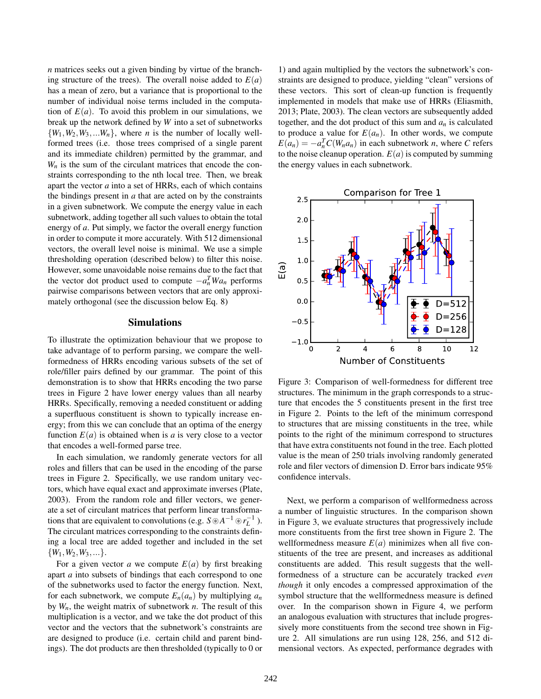*n* matrices seeks out a given binding by virtue of the branching structure of the trees). The overall noise added to  $E(a)$ has a mean of zero, but a variance that is proportional to the number of individual noise terms included in the computation of  $E(a)$ . To avoid this problem in our simulations, we break up the network defined by *W* into a set of subnetworks  $\{W_1, W_2, W_3, \ldots, W_n\}$ , where *n* is the number of locally wellformed trees (i.e. those trees comprised of a single parent and its immediate children) permitted by the grammar, and  $W<sub>n</sub>$  is the sum of the circulant matrices that encode the constraints corresponding to the nth local tree. Then, we break apart the vector *a* into a set of HRRs, each of which contains the bindings present in *a* that are acted on by the constraints in a given subnetwork. We compute the energy value in each subnetwork, adding together all such values to obtain the total energy of *a*. Put simply, we factor the overall energy function in order to compute it more accurately. With 512 dimensional vectors, the overall level noise is minimal. We use a simple thresholding operation (described below) to filter this noise. However, some unavoidable noise remains due to the fact that the vector dot product used to compute  $-a_n^T W a_n$  performs pairwise comparisons between vectors that are only approximately orthogonal (see the discussion below Eq. 8)

#### Simulations

To illustrate the optimization behaviour that we propose to take advantage of to perform parsing, we compare the wellformedness of HRRs encoding various subsets of the set of role/filler pairs defined by our grammar. The point of this demonstration is to show that HRRs encoding the two parse trees in Figure 2 have lower energy values than all nearby HRRs. Specifically, removing a needed constituent or adding a superfluous constituent is shown to typically increase energy; from this we can conclude that an optima of the energy function  $E(a)$  is obtained when is *a* is very close to a vector that encodes a well-formed parse tree.

In each simulation, we randomly generate vectors for all roles and fillers that can be used in the encoding of the parse trees in Figure 2. Specifically, we use random unitary vectors, which have equal exact and approximate inverses (Plate, 2003). From the random role and filler vectors, we generate a set of circulant matrices that perform linear transformations that are equivalent to convolutions (e.g.  $S \otimes A^{-1} \otimes r_L^{-1}$ ). The circulant matrices corresponding to the constraints defining a local tree are added together and included in the set  $\{W_1, W_2, W_3, ...\}.$ 

For a given vector *a* we compute  $E(a)$  by first breaking apart *a* into subsets of bindings that each correspond to one of the subnetworks used to factor the energy function. Next, for each subnetwork, we compute  $E_n(a_n)$  by multiplying  $a_n$ by *Wn*, the weight matrix of subnetwork *n*. The result of this multiplication is a vector, and we take the dot product of this vector and the vectors that the subnetwork's constraints are are designed to produce (i.e. certain child and parent bindings). The dot products are then thresholded (typically to 0 or

1) and again multiplied by the vectors the subnetwork's constraints are designed to produce, yielding "clean" versions of these vectors. This sort of clean-up function is frequently implemented in models that make use of HRRs (Eliasmith, 2013; Plate, 2003). The clean vectors are subsequently added together, and the dot product of this sum and  $a_n$  is calculated to produce a value for  $E(a_n)$ . In other words, we compute  $E(a_n) = -a_n^T C(W_n a_n)$  in each subnetwork *n*, where *C* refers to the noise cleanup operation.  $E(a)$  is computed by summing the energy values in each subnetwork.



Figure 3: Comparison of well-formedness for different tree structures. The minimum in the graph corresponds to a structure that encodes the 5 constituents present in the first tree in Figure 2. Points to the left of the minimum correspond to structures that are missing constituents in the tree, while points to the right of the minimum correspond to structures that have extra constituents not found in the tree. Each plotted value is the mean of 250 trials involving randomly generated role and filer vectors of dimension D. Error bars indicate 95% confidence intervals.

Next, we perform a comparison of wellformedness across a number of linguistic structures. In the comparison shown in Figure 3, we evaluate structures that progressively include more constituents from the first tree shown in Figure 2. The wellformedness measure  $E(a)$  minimizes when all five constituents of the tree are present, and increases as additional constituents are added. This result suggests that the wellformedness of a structure can be accurately tracked *even though* it only encodes a compressed approximation of the symbol structure that the wellformedness measure is defined over. In the comparison shown in Figure 4, we perform an analogous evaluation with structures that include progressively more constituents from the second tree shown in Figure 2. All simulations are run using 128, 256, and 512 dimensional vectors. As expected, performance degrades with